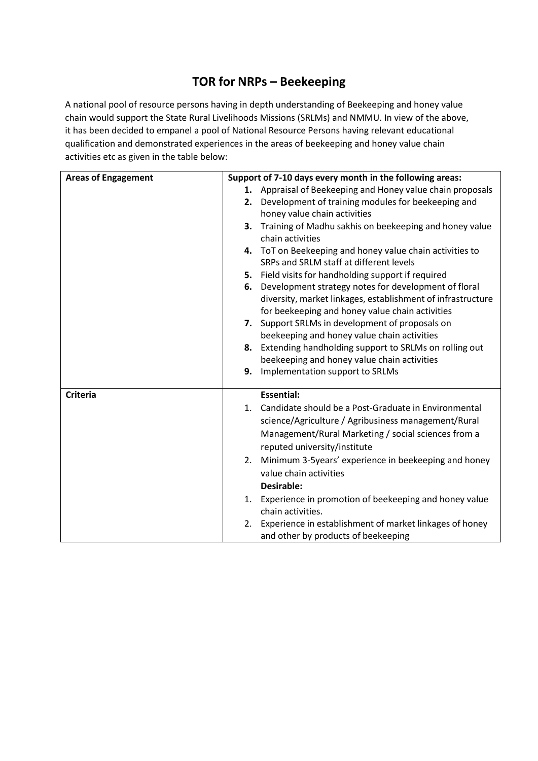## **TOR for NRPs – Beekeeping**

A national pool of resource persons having in depth understanding of Beekeeping and honey value chain would support the State Rural Livelihoods Missions (SRLMs) and NMMU. In view of the above, it has been decided to empanel a pool of National Resource Persons having relevant educational qualification and demonstrated experiences in the areas of beekeeping and honey value chain activities etc as given in the table below:

| <b>Areas of Engagement</b> | Support of 7-10 days every month in the following areas:      |
|----------------------------|---------------------------------------------------------------|
|                            | Appraisal of Beekeeping and Honey value chain proposals<br>1. |
|                            | Development of training modules for beekeeping and<br>2.      |
|                            | honey value chain activities                                  |
|                            | Training of Madhu sakhis on beekeeping and honey value<br>З.  |
|                            | chain activities                                              |
|                            | 4. ToT on Beekeeping and honey value chain activities to      |
|                            | SRPs and SRLM staff at different levels                       |
|                            | Field visits for handholding support if required<br>5.        |
|                            | Development strategy notes for development of floral<br>6.    |
|                            | diversity, market linkages, establishment of infrastructure   |
|                            | for beekeeping and honey value chain activities               |
|                            | 7. Support SRLMs in development of proposals on               |
|                            | beekeeping and honey value chain activities                   |
|                            | 8. Extending handholding support to SRLMs on rolling out      |
|                            | beekeeping and honey value chain activities                   |
|                            | Implementation support to SRLMs<br>9.                         |
| <b>Criteria</b>            | <b>Essential:</b>                                             |
|                            | Candidate should be a Post-Graduate in Environmental          |
|                            | 1.                                                            |
|                            | science/Agriculture / Agribusiness management/Rural           |
|                            | Management/Rural Marketing / social sciences from a           |
|                            | reputed university/institute                                  |
|                            | Minimum 3-5years' experience in beekeeping and honey<br>2.    |
|                            | value chain activities                                        |
|                            | Desirable:                                                    |
|                            | Experience in promotion of beekeeping and honey value<br>1.   |
|                            | chain activities.                                             |
|                            | Experience in establishment of market linkages of honey<br>2. |
|                            | and other by products of beekeeping                           |